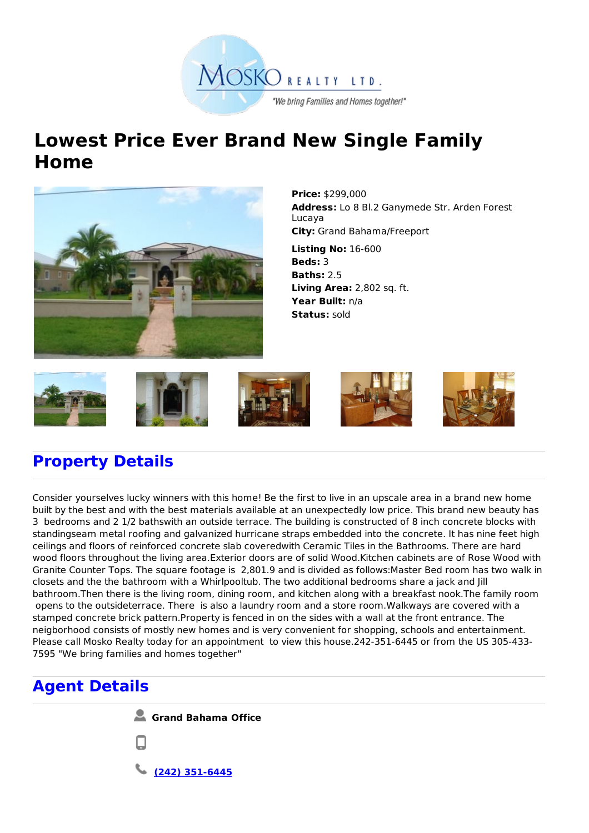

## **Lowest Price Ever Brand New Single Family Home**



**Price:** \$299,000 **Address:** Lo 8 Bl.2 Ganymede Str. Arden Forest Lucaya **City:** Grand Bahama/Freeport

**Listing No:** 16-600 **Beds:** 3 **Baths:** 2.5 **Living Area:** 2,802 sq. ft. **Year Built:** n/a **Status:** sold



## **Property Details**

Consider yourselves lucky winners with this home! Be the first to live in an upscale area in a brand new home built by the best and with the best materials available at an unexpectedly low price. This brand new beauty has 3 bedrooms and 2 1/2 bathswith an outside terrace. The building is constructed of 8 inch concrete blocks with standingseam metal roofing and galvanized hurricane straps embedded into the concrete. It has nine feet high ceilings and floors of reinforced concrete slab coveredwith Ceramic Tiles in the Bathrooms. There are hard wood floors throughout the living area.Exterior doors are of solid Wood.Kitchen cabinets are of Rose Wood with Granite Counter Tops. The square footage is 2,801.9 and is divided as follows:Master Bed room has two walk in closets and the the bathroom with a Whirlpooltub. The two additional bedrooms share a jack and Jill bathroom.Then there is the living room, dining room, and kitchen along with a breakfast nook.The family room opens to the outsideterrace. There is also a laundry room and a store room.Walkways are covered with a stamped concrete brick pattern.Property is fenced in on the sides with a wall at the front entrance. The neigborhood consists of mostly new homes and is very convenient for shopping, schools and entertainment. Please call Mosko Realty today for an appointment to view this house.242-351-6445 or from the US 305-433- 7595 "We bring families and homes together"

## **Agent Details**

**Grand Bahama Office**

**(242) 351-6445**